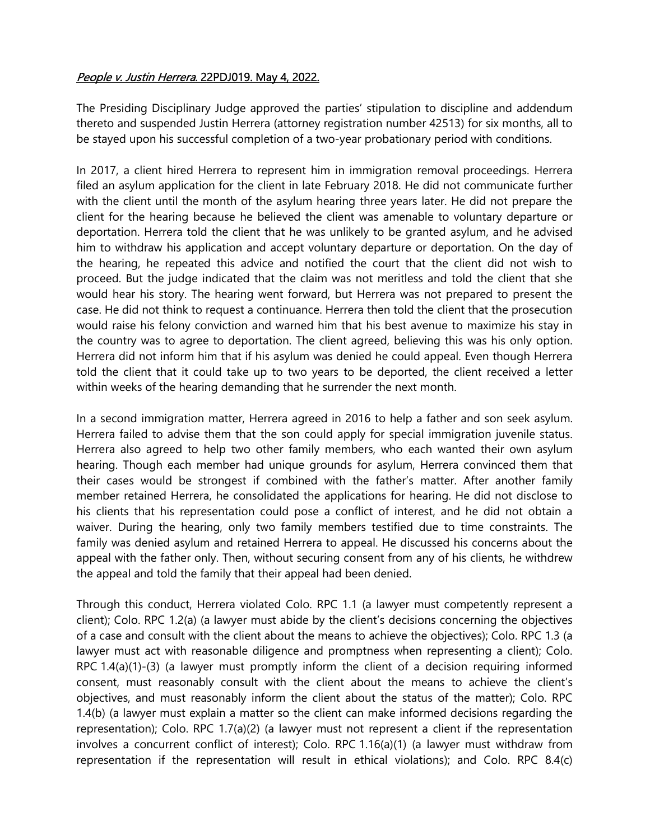## People v. Justin Herrera. 22PDJ019. May 4, 2022.

The Presiding Disciplinary Judge approved the parties' stipulation to discipline and addendum thereto and suspended Justin Herrera (attorney registration number 42513) for six months, all to be stayed upon his successful completion of a two-year probationary period with conditions.

In 2017, a client hired Herrera to represent him in immigration removal proceedings. Herrera filed an asylum application for the client in late February 2018. He did not communicate further with the client until the month of the asylum hearing three years later. He did not prepare the client for the hearing because he believed the client was amenable to voluntary departure or deportation. Herrera told the client that he was unlikely to be granted asylum, and he advised him to withdraw his application and accept voluntary departure or deportation. On the day of the hearing, he repeated this advice and notified the court that the client did not wish to proceed. But the judge indicated that the claim was not meritless and told the client that she would hear his story. The hearing went forward, but Herrera was not prepared to present the case. He did not think to request a continuance. Herrera then told the client that the prosecution would raise his felony conviction and warned him that his best avenue to maximize his stay in the country was to agree to deportation. The client agreed, believing this was his only option. Herrera did not inform him that if his asylum was denied he could appeal. Even though Herrera told the client that it could take up to two years to be deported, the client received a letter within weeks of the hearing demanding that he surrender the next month.

In a second immigration matter, Herrera agreed in 2016 to help a father and son seek asylum. Herrera failed to advise them that the son could apply for special immigration juvenile status. Herrera also agreed to help two other family members, who each wanted their own asylum hearing. Though each member had unique grounds for asylum, Herrera convinced them that their cases would be strongest if combined with the father's matter. After another family member retained Herrera, he consolidated the applications for hearing. He did not disclose to his clients that his representation could pose a conflict of interest, and he did not obtain a waiver. During the hearing, only two family members testified due to time constraints. The family was denied asylum and retained Herrera to appeal. He discussed his concerns about the appeal with the father only. Then, without securing consent from any of his clients, he withdrew the appeal and told the family that their appeal had been denied.

Through this conduct, Herrera violated Colo. RPC 1.1 (a lawyer must competently represent a client); Colo. RPC 1.2(a) (a lawyer must abide by the client's decisions concerning the objectives of a case and consult with the client about the means to achieve the objectives); Colo. RPC 1.3 (a lawyer must act with reasonable diligence and promptness when representing a client); Colo. RPC 1.4(a)(1)-(3) (a lawyer must promptly inform the client of a decision requiring informed consent, must reasonably consult with the client about the means to achieve the client's objectives, and must reasonably inform the client about the status of the matter); Colo. RPC 1.4(b) (a lawyer must explain a matter so the client can make informed decisions regarding the representation); Colo. RPC 1.7(a)(2) (a lawyer must not represent a client if the representation involves a concurrent conflict of interest); Colo. RPC 1.16(a)(1) (a lawyer must withdraw from representation if the representation will result in ethical violations); and Colo. RPC 8.4(c)